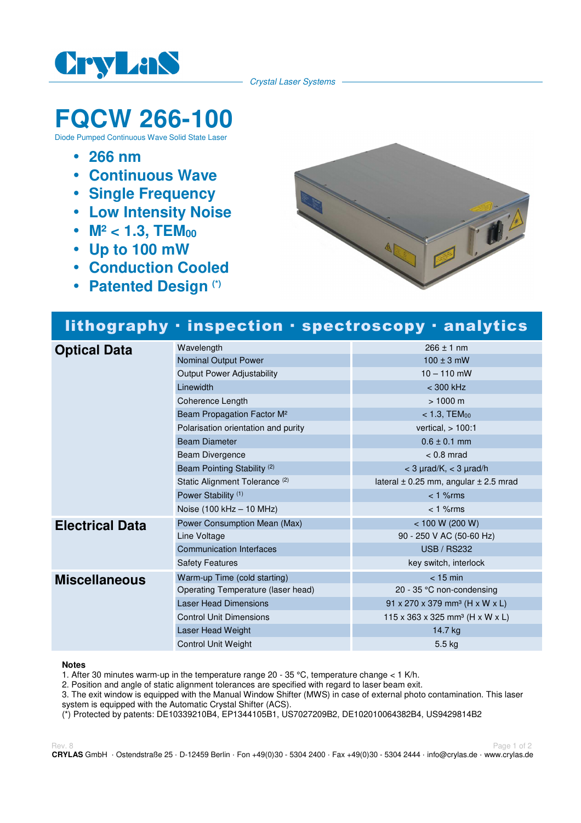

Crystal Laser Systems

# **FQCW 266-100**

Diode Pumped Continuous Wave Solid State Laser

- **266 nm**
- **Continuous Wave**
- **Single Frequency**
- **Low Intensity Noise**
- M<sup>2</sup> < 1.3, TEM<sub>00</sub>
- **Up to 100 mW**
- **Conduction Cooled**
- **Patented Design (\*)**



## lithography · inspection · spectroscopy · analytics

| <b>Optical Data</b>    | Wavelength                                | $266 \pm 1$ nm                                         |
|------------------------|-------------------------------------------|--------------------------------------------------------|
|                        | Nominal Output Power                      | $100 \pm 3$ mW                                         |
|                        | <b>Output Power Adjustability</b>         | $10 - 110$ mW                                          |
|                        | Linewidth                                 | $<$ 300 kHz                                            |
|                        | Coherence Length                          | $> 1000 \text{ m}$                                     |
|                        | Beam Propagation Factor M <sup>2</sup>    | $< 1.3,$ TEM $_{00}$                                   |
|                        | Polarisation orientation and purity       | vertical, $> 100:1$                                    |
|                        | <b>Beam Diameter</b>                      | $0.6 \pm 0.1$ mm                                       |
|                        | Beam Divergence                           | $< 0.8$ mrad                                           |
|                        | Beam Pointing Stability <sup>(2)</sup>    | $<$ 3 $\mu$ rad/K, $<$ 3 $\mu$ rad/h                   |
|                        | Static Alignment Tolerance <sup>(2)</sup> | lateral $\pm$ 0.25 mm, angular $\pm$ 2.5 mrad          |
|                        | Power Stability <sup>(1)</sup>            | $< 1$ % rms                                            |
|                        | Noise (100 kHz - 10 MHz)                  | $< 1$ % $rms$                                          |
| <b>Electrical Data</b> | Power Consumption Mean (Max)              | < 100 W (200 W)                                        |
|                        | Line Voltage                              | 90 - 250 V AC (50-60 Hz)                               |
|                        | <b>Communication Interfaces</b>           | <b>USB / RS232</b>                                     |
|                        | <b>Safety Features</b>                    | key switch, interlock                                  |
| <b>Miscellaneous</b>   | Warm-up Time (cold starting)              | $<$ 15 min                                             |
|                        | Operating Temperature (laser head)        | 20 - 35 $\degree$ C non-condensing                     |
|                        | <b>Laser Head Dimensions</b>              | $91 \times 270 \times 379$ mm <sup>3</sup> (H x W x L) |
|                        | <b>Control Unit Dimensions</b>            | 115 x 363 x 325 mm <sup>3</sup> (H x W x L)            |
|                        | Laser Head Weight                         | 14.7 kg                                                |
|                        | <b>Control Unit Weight</b>                | 5.5 kg                                                 |

#### **Notes**

1. After 30 minutes warm-up in the temperature range 20 - 35 °C, temperature change  $<$  1 K/h.

2. Position and angle of static alignment tolerances are specified with regard to laser beam exit.

3. The exit window is equipped with the Manual Window Shifter (MWS) in case of external photo contamination. This laser system is equipped with the Automatic Crystal Shifter (ACS).

(\*) Protected by patents: DE10339210B4, EP1344105B1, US7027209B2, DE102010064382B4, US9429814B2

Rev. 8 Page 1 of 2 **CRYLAS** GmbH · Ostendstraße 25 · D-12459 Berlin · Fon +49(0)30 - 5304 2400 · Fax +49(0)30 - 5304 2444 · info@crylas.de · www.crylas.de